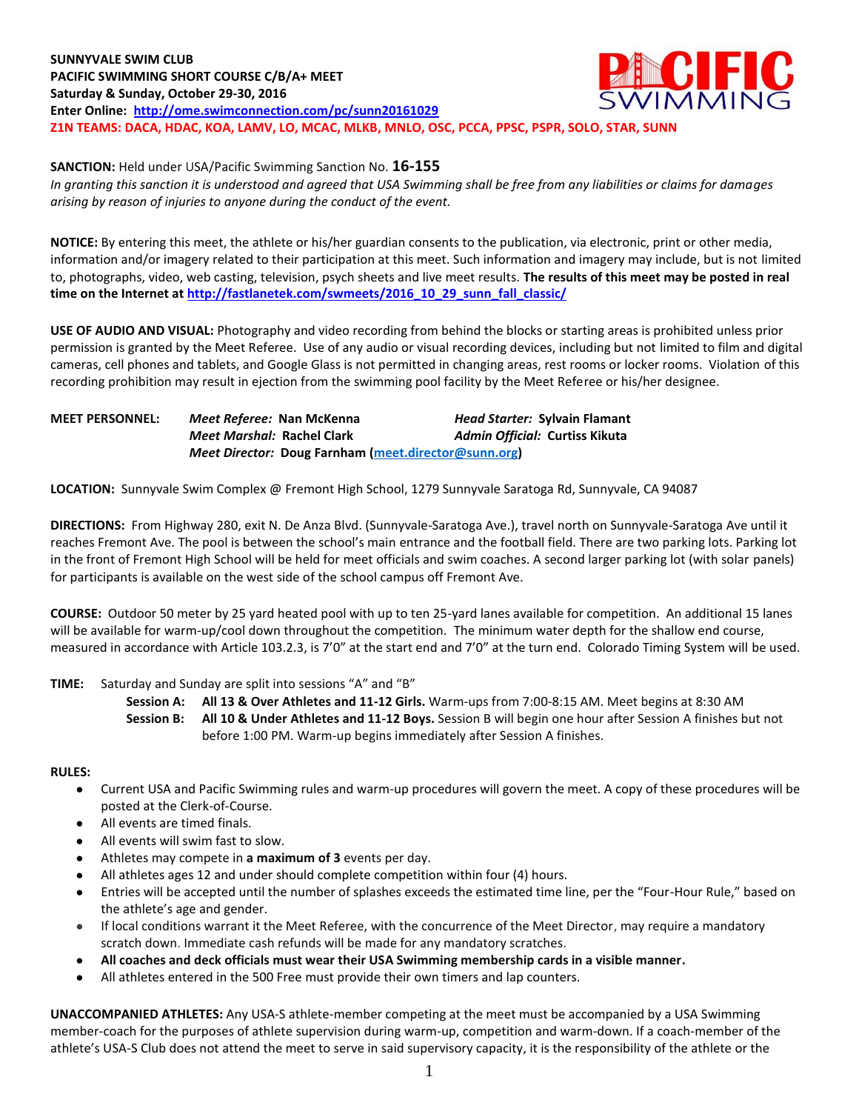**ACIFIC SUNNYVALE SWIM CLUB PACIFIC SWIMMING SHORT COURSE C/B/A+ MEET Saturday & Sunday, October 29-30, 2016 Enter Online: <http://ome.swimconnection.com/pc/sunn20161029> Z1N TEAMS: DACA, HDAC, KOA, LAMV, LO, MCAC, MLKB, MNLO, OSC, PCCA, PPSC, PSPR, SOLO, STAR, SUNN**

**SANCTION:** Held under USA/Pacific Swimming Sanction No. **16-155**

*In granting this sanction it is understood and agreed that USA Swimming shall be free from any liabilities or claims for damages arising by reason of injuries to anyone during the conduct of the event.*

**NOTICE:** By entering this meet, the athlete or his/her guardian consents to the publication, via electronic, print or other media, information and/or imagery related to their participation at this meet. Such information and imagery may include, but is not limited to, photographs, video, web casting, television, psych sheets and live meet results. **The results of this meet may be posted in real time on the Internet a[t http://fastlanetek.com/swmeets/2016\\_10\\_29\\_sunn\\_fall\\_classic/](http://fastlanetek.com/swmeets/2016_10_29_sunn_fall_classic/)**

**USE OF AUDIO AND VISUAL:** Photography and video recording from behind the blocks or starting areas is prohibited unless prior permission is granted by the Meet Referee. Use of any audio or visual recording devices, including but not limited to film and digital cameras, cell phones and tablets, and Google Glass is not permitted in changing areas, rest rooms or locker rooms. Violation of this recording prohibition may result in ejection from the swimming pool facility by the Meet Referee or his/her designee.

| <b>MEET PERSONNEL:</b> | Meet Referee: Nan McKenna  |                                                      | <b>Head Starter: Sylvain Flamant</b> |
|------------------------|----------------------------|------------------------------------------------------|--------------------------------------|
|                        | Meet Marshal: Rachel Clark |                                                      | Admin Official: Curtiss Kikuta       |
|                        |                            | Meet Director: Doug Farnham (meet.director@sunn.org) |                                      |

**LOCATION:** Sunnyvale Swim Complex @ Fremont High School, 1279 Sunnyvale Saratoga Rd, Sunnyvale, CA 94087

**DIRECTIONS:** From Highway 280, exit N. De Anza Blvd. (Sunnyvale-Saratoga Ave.), travel north on Sunnyvale-Saratoga Ave until it reaches Fremont Ave. The pool is between the school's main entrance and the football field. There are two parking lots. Parking lot in the front of Fremont High School will be held for meet officials and swim coaches. A second larger parking lot (with solar panels) for participants is available on the west side of the school campus off Fremont Ave.

**COURSE:** Outdoor 50 meter by 25 yard heated pool with up to ten 25-yard lanes available for competition.An additional 15 lanes will be available for warm-up/cool down throughout the competition. The minimum water depth for the shallow end course, measured in accordance with Article 103.2.3, is 7'0" at the start end and 7'0" at the turn end. Colorado Timing System will be used.

#### **TIME:** Saturday and Sunday are split into sessions "A" and "B"

**Session A: All 13 & Over Athletes and 11-12 Girls.** Warm-ups from 7:00-8:15 AM. Meet begins at 8:30 AM **Session B: All 10 & Under Athletes and 11-12 Boys.** Session B will begin one hour after Session A finishes but not before 1:00 PM. Warm-up begins immediately after Session A finishes.

## **RULES:**

- Current USA and Pacific Swimming rules and warm-up procedures will govern the meet. A copy of these procedures will be posted at the Clerk-of-Course.
- All events are timed finals.
- All events will swim fast to slow.
- Athletes may compete in a maximum of 3 events per day.
- All athletes ages 12 and under should complete competition within four (4) hours.
- Entries will be accepted until the number of splashes exceeds the estimated time line, per the "Four-Hour Rule," based on the athlete's age and gender.
- If local conditions warrant it the Meet Referee, with the concurrence of the Meet Director, may require a mandatory scratch down. Immediate cash refunds will be made for any mandatory scratches.
- **All coaches and deck officials must wear their USA Swimming membership cards in a visible manner.**
- All athletes entered in the 500 Free must provide their own timers and lap counters.

**UNACCOMPANIED ATHLETES:** Any USA-S athlete-member competing at the meet must be accompanied by a USA Swimming member-coach for the purposes of athlete supervision during warm-up, competition and warm-down. If a coach-member of the athlete's USA-S Club does not attend the meet to serve in said supervisory capacity, it is the responsibility of the athlete or the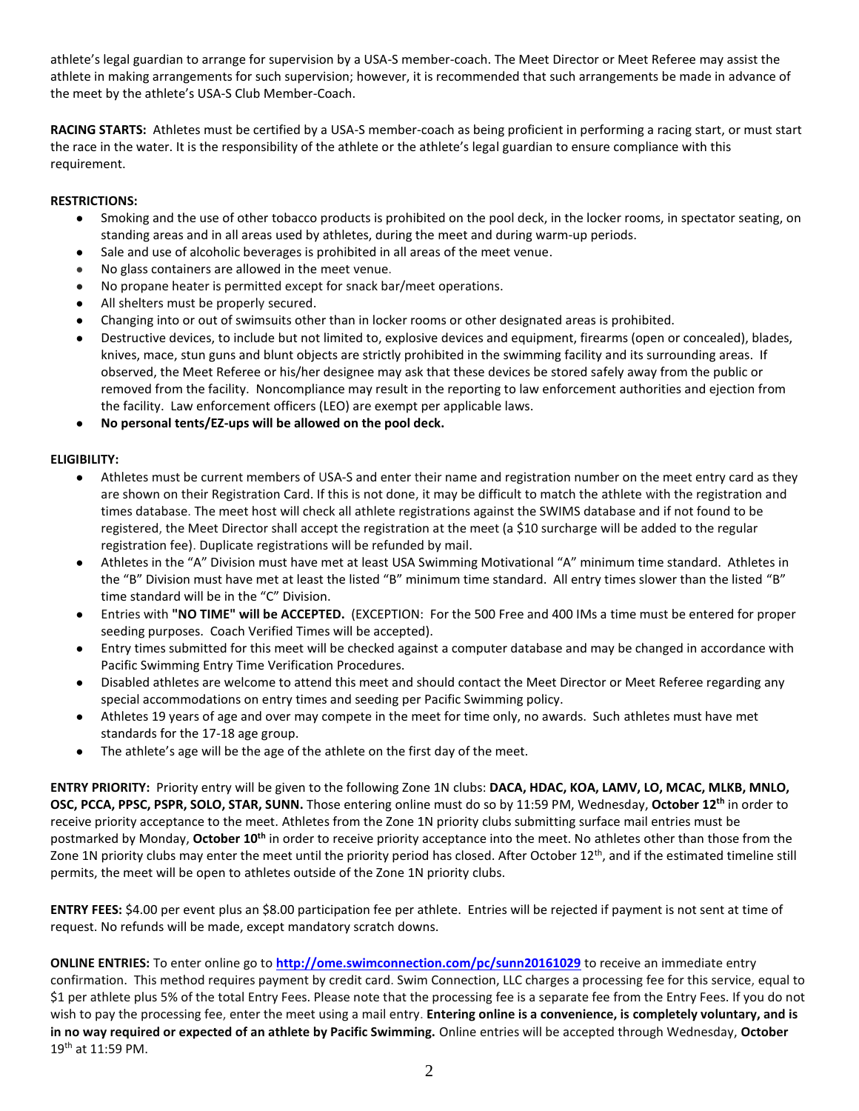athlete's legal guardian to arrange for supervision by a USA-S member-coach. The Meet Director or Meet Referee may assist the athlete in making arrangements for such supervision; however, it is recommended that such arrangements be made in advance of the meet by the athlete's USA-S Club Member-Coach.

**RACING STARTS:** Athletes must be certified by a USA-S member-coach as being proficient in performing a racing start, or must start the race in the water. It is the responsibility of the athlete or the athlete's legal guardian to ensure compliance with this requirement.

# **RESTRICTIONS:**

- Smoking and the use of other tobacco products is prohibited on the pool deck, in the locker rooms, in spectator seating, on standing areas and in all areas used by athletes, during the meet and during warm-up periods.
- Sale and use of alcoholic beverages is prohibited in all areas of the meet venue.
- No glass containers are allowed in the meet venue.
- No propane heater is permitted except for snack bar/meet operations.
- All shelters must be properly secured.
- Changing into or out of swimsuits other than in locker rooms or other designated areas is prohibited.
- Destructive devices, to include but not limited to, explosive devices and equipment, firearms (open or concealed), blades, knives, mace, stun guns and blunt objects are strictly prohibited in the swimming facility and its surrounding areas. If observed, the Meet Referee or his/her designee may ask that these devices be stored safely away from the public or removed from the facility. Noncompliance may result in the reporting to law enforcement authorities and ejection from the facility. Law enforcement officers (LEO) are exempt per applicable laws.

## No personal tents/EZ-ups will be allowed on the pool deck.

## **ELIGIBILITY:**

- Athletes must be current members of USA-S and enter their name and registration number on the meet entry card as they are shown on their Registration Card. If this is not done, it may be difficult to match the athlete with the registration and times database. The meet host will check all athlete registrations against the SWIMS database and if not found to be registered, the Meet Director shall accept the registration at the meet (a \$10 surcharge will be added to the regular registration fee). Duplicate registrations will be refunded by mail.
- Athletes in the "A" Division must have met at least USA Swimming Motivational "A" minimum time standard. Athletes in the "B" Division must have met at least the listed "B" minimum time standard. All entry times slower than the listed "B" time standard will be in the "C" Division.
- Entries with **"NO TIME" will be ACCEPTED.** (EXCEPTION: For the 500 Free and 400 IMs a time must be entered for proper seeding purposes. Coach Verified Times will be accepted).
- Entry times submitted for this meet will be checked against a computer database and may be changed in accordance with Pacific Swimming Entry Time Verification Procedures.
- Disabled athletes are welcome to attend this meet and should contact the Meet Director or Meet Referee regarding any special accommodations on entry times and seeding per Pacific Swimming policy.
- Athletes 19 years of age and over may compete in the meet for time only, no awards. Such athletes must have met standards for the 17-18 age group.
- The athlete's age will be the age of the athlete on the first day of the meet.

**ENTRY PRIORITY:** Priority entry will be given to the following Zone 1N clubs: **DACA, HDAC, KOA, LAMV, LO, MCAC, MLKB, MNLO, OSC, PCCA, PPSC, PSPR, SOLO, STAR, SUNN.** Those entering online must do so by 11:59 PM, Wednesday, **October 12th** in order to receive priority acceptance to the meet. Athletes from the Zone 1N priority clubs submitting surface mail entries must be postmarked by Monday, **October 10th** in order to receive priority acceptance into the meet. No athletes other than those from the Zone 1N priority clubs may enter the meet until the priority period has closed. After October  $12<sup>th</sup>$ , and if the estimated timeline still permits, the meet will be open to athletes outside of the Zone 1N priority clubs.

**ENTRY FEES:** \$4.00 per event plus an \$8.00 participation fee per athlete. Entries will be rejected if payment is not sent at time of request. No refunds will be made, except mandatory scratch downs.

**ONLINE ENTRIES:** To enter online go to **<http://ome.swimconnection.com/pc/sunn20161029>** to receive an immediate entry confirmation. This method requires payment by credit card. Swim Connection, LLC charges a processing fee for this service, equal to \$1 per athlete plus 5% of the total Entry Fees. Please note that the processing fee is a separate fee from the Entry Fees. If you do not wish to pay the processing fee, enter the meet using a mail entry. **Entering online is a convenience, is completely voluntary, and is in no way required or expected of an athlete by Pacific Swimming.** Online entries will be accepted through Wednesday, **October**  19<sup>th</sup> at 11:59 PM.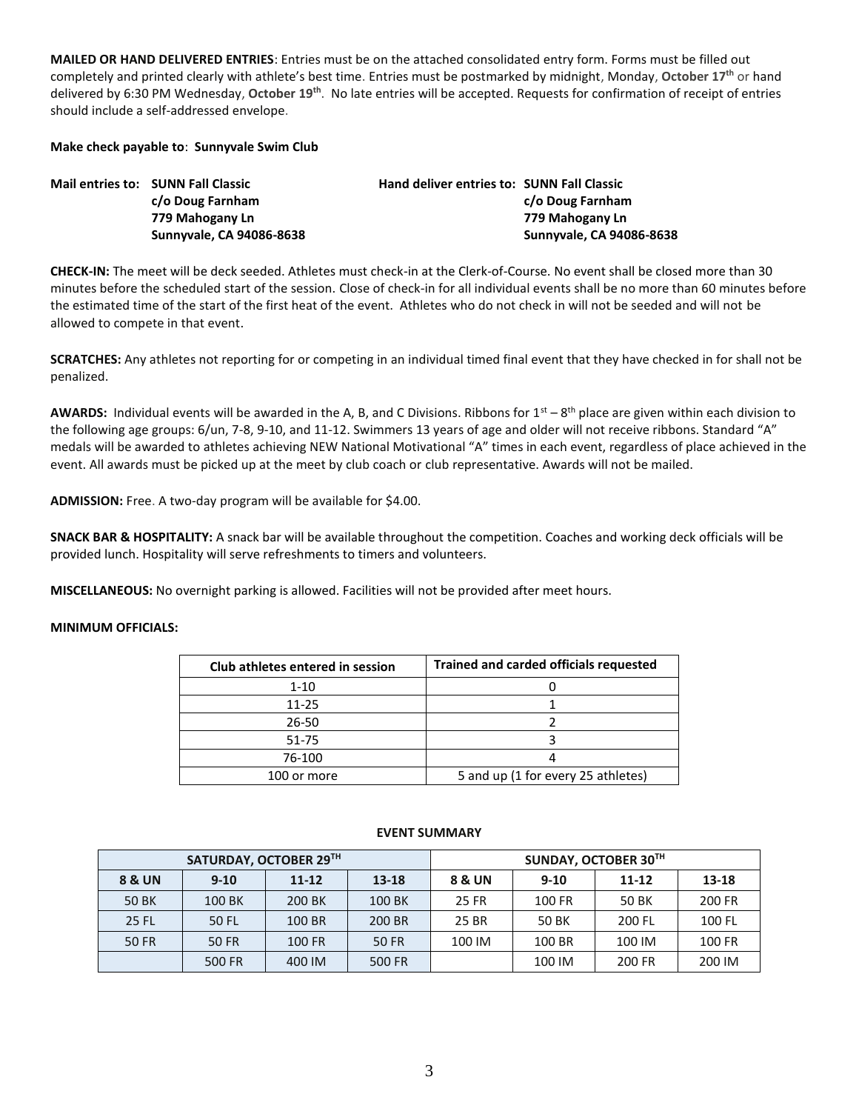**MAILED OR HAND DELIVERED ENTRIES**: Entries must be on the attached consolidated entry form. Forms must be filled out completely and printed clearly with athlete's best time. Entries must be postmarked by midnight, Monday, **October 17th** or hand delivered by 6:30 PM Wednesday, **October 19th** . No late entries will be accepted. Requests for confirmation of receipt of entries should include a self-addressed envelope.

**Make check payable to**: **Sunnyvale Swim Club**

| Mail entries to: SUNN Fall Classic | <b>Hand deliver entries to: SUNN Fall Classic</b> |                          |
|------------------------------------|---------------------------------------------------|--------------------------|
| c/o Doug Farnham                   |                                                   | c/o Doug Farnham         |
| 779 Mahogany Ln                    |                                                   | 779 Mahogany Ln          |
| Sunnyvale, CA 94086-8638           |                                                   | Sunnyvale, CA 94086-8638 |

**CHECK-IN:** The meet will be deck seeded. Athletes must check-in at the Clerk-of-Course. No event shall be closed more than 30 minutes before the scheduled start of the session. Close of check-in for all individual events shall be no more than 60 minutes before the estimated time of the start of the first heat of the event. Athletes who do not check in will not be seeded and will not be allowed to compete in that event.

**SCRATCHES:** Any athletes not reporting for or competing in an individual timed final event that they have checked in for shall not be penalized.

AWARDS: Individual events will be awarded in the A, B, and C Divisions. Ribbons for 1<sup>st</sup> – 8<sup>th</sup> place are given within each division to the following age groups: 6/un, 7-8, 9-10, and 11-12. Swimmers 13 years of age and older will not receive ribbons. Standard "A" medals will be awarded to athletes achieving NEW National Motivational "A" times in each event, regardless of place achieved in the event. All awards must be picked up at the meet by club coach or club representative. Awards will not be mailed.

**ADMISSION:** Free. A two-day program will be available for \$4.00.

**SNACK BAR & HOSPITALITY:** A snack bar will be available throughout the competition. Coaches and working deck officials will be provided lunch. Hospitality will serve refreshments to timers and volunteers.

**MISCELLANEOUS:** No overnight parking is allowed. Facilities will not be provided after meet hours.

#### **MINIMUM OFFICIALS:**

| Club athletes entered in session | <b>Trained and carded officials requested</b> |
|----------------------------------|-----------------------------------------------|
| $1 - 10$                         |                                               |
| $11 - 25$                        |                                               |
| 26-50                            |                                               |
| 51-75                            |                                               |
| 76-100                           |                                               |
| 100 or more                      | 5 and up (1 for every 25 athletes)            |

| SATURDAY, OCTOBER 29TH |          |           | SUNDAY, OCTOBER 30TH |        |        |           |        |
|------------------------|----------|-----------|----------------------|--------|--------|-----------|--------|
| 8 & UN                 | $9 - 10$ | $11 - 12$ | $13 - 18$            | 8 & UN | $9-10$ | $11 - 12$ | 13-18  |
| <b>50 BK</b>           | 100 BK   | 200 BK    | 100 BK               | 25 FR  | 100 FR | 50 BK     | 200 FR |
| <b>25 FL</b>           | 50 FL    | 100 BR    | 200 BR               | 25 BR  | 50 BK  | 200 FL    | 100 FL |
| <b>50 FR</b>           | 50 FR    | 100 FR    | 50 FR                | 100 IM | 100 BR | 100 IM    | 100 FR |
|                        | 500 FR   | 400 IM    | 500 FR               |        | 100 IM | 200 FR    | 200 IM |

#### **EVENT SUMMARY**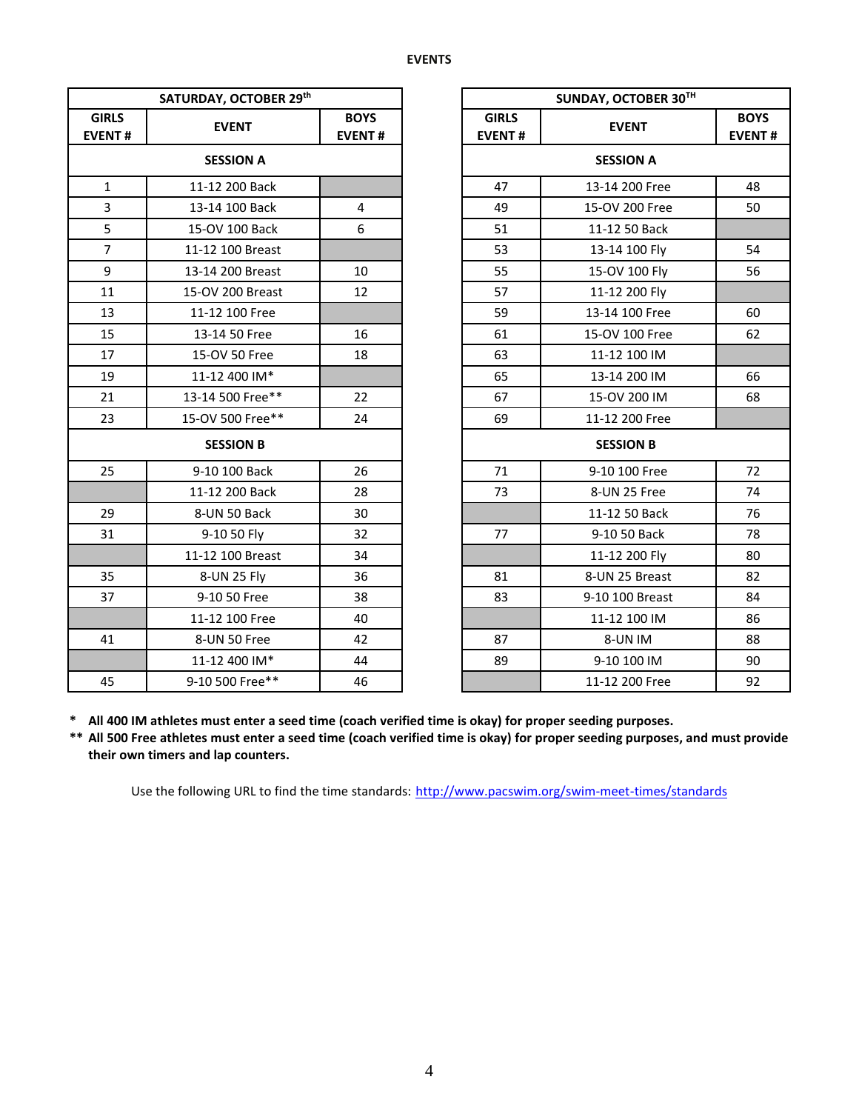|                               | SATURDAY, OCTOBER 29th |                              |                               | SUNDAY, OCTOBER 30TH |                           |
|-------------------------------|------------------------|------------------------------|-------------------------------|----------------------|---------------------------|
| <b>GIRLS</b><br><b>EVENT#</b> | <b>EVENT</b>           | <b>BOYS</b><br><b>EVENT#</b> | <b>GIRLS</b><br><b>EVENT#</b> | <b>EVENT</b>         | <b>BOY</b><br><b>EVEN</b> |
| <b>SESSION A</b>              |                        |                              |                               | <b>SESSION A</b>     |                           |
| $\mathbf{1}$                  | 11-12 200 Back         |                              | 47                            | 13-14 200 Free       | 48                        |
| 3                             | 13-14 100 Back         | $\overline{4}$               | 49                            | 15-OV 200 Free       | 50                        |
| 5                             | 15-OV 100 Back         | 6                            | 51                            | 11-12 50 Back        |                           |
| $\overline{7}$                | 11-12 100 Breast       |                              | 53                            | 13-14 100 Fly        | 54                        |
| 9                             | 13-14 200 Breast       | 10                           | 55                            | 15-OV 100 Fly        | 56                        |
| 11                            | 15-OV 200 Breast       | 12                           | 57                            | 11-12 200 Fly        |                           |
| 13                            | 11-12 100 Free         |                              | 59                            | 13-14 100 Free       | 60                        |
| 15                            | 13-14 50 Free          | 16                           | 61                            | 15-OV 100 Free       | 62                        |
| 17                            | 15-OV 50 Free          | 18                           | 63                            | 11-12 100 IM         |                           |
| 19                            | 11-12 400 IM*          |                              | 65                            | 13-14 200 IM         | 66                        |
| 21                            | 13-14 500 Free**       | 22                           | 67                            | 15-OV 200 IM         | 68                        |
| 23                            | 15-OV 500 Free**       | 24                           | 69                            | 11-12 200 Free       |                           |
|                               | <b>SESSION B</b>       |                              |                               | <b>SESSION B</b>     |                           |
| 25                            | 9-10 100 Back          | 26                           | 71                            | 9-10 100 Free        | 72                        |
|                               | 11-12 200 Back         | 28                           | 73                            | 8-UN 25 Free         | 74                        |
| 29                            | 8-UN 50 Back           | 30                           |                               | 11-12 50 Back        | 76                        |
| 31                            | 9-10 50 Fly            | 32                           | 77                            | 9-10 50 Back         | 78                        |
|                               | 11-12 100 Breast       | 34                           |                               | 11-12 200 Fly        | 80                        |
| 35                            | 8-UN 25 Fly            | 36                           | 81                            | 8-UN 25 Breast       | 82                        |
| 37                            | 9-10 50 Free           | 38                           | 83                            | 9-10 100 Breast      | 84                        |
|                               | 11-12 100 Free         | 40                           |                               | 11-12 100 IM         | 86                        |
| 41                            | 8-UN 50 Free           | 42                           | 87                            | 8-UN IM              | 88                        |
|                               | 11-12 400 IM*          | 44                           | 89                            | 9-10 100 IM          | 90                        |
| 45                            | 9-10 500 Free**        | 46                           |                               | 11-12 200 Free       | 92                        |

| SATURDAY, OCTOBER 29th |                  |                              | SUNDAY, OCTOBER 30TH          |                  |                              |
|------------------------|------------------|------------------------------|-------------------------------|------------------|------------------------------|
| <b>IRLS</b><br>ENT#    | <b>EVENT</b>     | <b>BOYS</b><br><b>EVENT#</b> | <b>GIRLS</b><br><b>EVENT#</b> | <b>EVENT</b>     | <b>BOYS</b><br><b>EVENT#</b> |
| <b>SESSION A</b>       |                  |                              |                               | <b>SESSION A</b> |                              |
| $\mathbf{1}$           | 11-12 200 Back   |                              | 47                            | 13-14 200 Free   | 48                           |
| $\overline{3}$         | 13-14 100 Back   | 4                            | 49                            | 15-OV 200 Free   | 50                           |
| 5                      | 15-OV 100 Back   | 6                            | 51                            | 11-12 50 Back    |                              |
| $\overline{7}$         | 11-12 100 Breast |                              | 53                            | 13-14 100 Fly    | 54                           |
| $\mathsf g$            | 13-14 200 Breast | 10                           | 55                            | 15-OV 100 Fly    | 56                           |
| 11                     | 15-OV 200 Breast | 12                           | 57                            | 11-12 200 Fly    |                              |
| 13                     | 11-12 100 Free   |                              | 59                            | 13-14 100 Free   | 60                           |
| 15                     | 13-14 50 Free    | 16                           | 61                            | 15-OV 100 Free   | 62                           |
| 17                     | 15-OV 50 Free    | 18                           | 63                            | 11-12 100 IM     |                              |
| 19                     | 11-12 400 IM*    |                              | 65                            | 13-14 200 IM     | 66                           |
| 21                     | 13-14 500 Free** | 22                           | 67                            | 15-OV 200 IM     | 68                           |
| 23                     | 15-OV 500 Free** | 24                           | 69                            | 11-12 200 Free   |                              |
|                        | <b>SESSION B</b> |                              |                               | <b>SESSION B</b> |                              |
| 25                     | 9-10 100 Back    | 26                           | 71                            | 9-10 100 Free    | 72                           |
|                        | 11-12 200 Back   | 28                           | 73                            | 8-UN 25 Free     | 74                           |
| 29                     | 8-UN 50 Back     | 30                           |                               | 11-12 50 Back    | 76                           |
| 31                     | 9-10 50 Fly      | 32                           | 77                            | 9-10 50 Back     | 78                           |
|                        | 11-12 100 Breast | 34                           |                               | 11-12 200 Fly    | 80                           |
| 35                     | 8-UN 25 Fly      | 36                           | 81                            | 8-UN 25 Breast   | 82                           |
| 37                     | 9-10 50 Free     | 38                           | 83                            | 9-10 100 Breast  | 84                           |
|                        | 11-12 100 Free   | 40                           |                               | 11-12 100 IM     | 86                           |
| 41                     | 8-UN 50 Free     | 42                           | 87                            | 8-UN IM          | 88                           |
|                        | 11-12 400 IM*    | 44                           | 89                            | 9-10 100 IM      | 90                           |
| 45                     | 9-10 500 Free**  | 46                           |                               | 11-12 200 Free   | 92                           |

**\* All 400 IM athletes must enter a seed time (coach verified time is okay) for proper seeding purposes.**

**\*\* All 500 Free athletes must enter a seed time (coach verified time is okay) for proper seeding purposes, and must provide their own timers and lap counters.**

Use the following URL to find the time standards: <http://www.pacswim.org/swim-meet-times/standards>